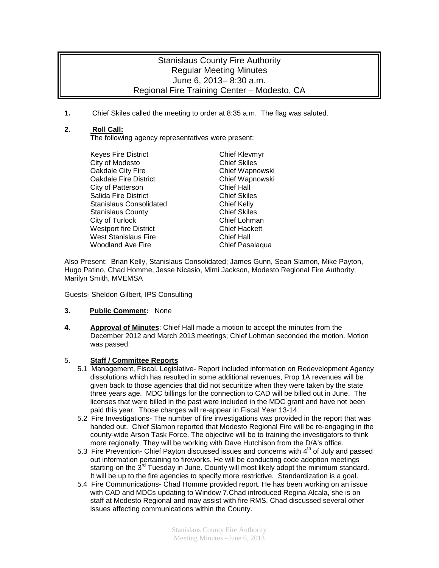## Stanislaus County Fire Authority Regular Meeting Minutes June 6, 2013– 8:30 a.m. Regional Fire Training Center – Modesto, CA

**1.** Chief Skiles called the meeting to order at 8:35 a.m. The flag was saluted.

### **2. Roll Call:**

The following agency representatives were present:

Keyes Fire District **Chief Kleymyr** City of Modesto<br>
Chief Skiles<br>
Chief Wapnowski<br>
Chief Wapnowski Oakdale City Fire Chief Wapnowski<br>
Oakdale Fire District Chief Wapnowski **Oakdale Fire District** City of Patterson Chief Hall Salida Fire District Stanislaus Consolidated Chief Kelly Stanislaus County<br>City of Turlock City of Turlock<br>Chief Lohman City of Turlock Westport fire District **Chief Hackett** West Stanislaus Fire **Chief Hall**<br>Woodland Ave Fire **Chief Pass** 

Chief Pasalaqua

Also Present: Brian Kelly, Stanislaus Consolidated; James Gunn, Sean Slamon, Mike Payton, Hugo Patino, Chad Homme, Jesse Nicasio, Mimi Jackson, Modesto Regional Fire Authority; Marilyn Smith, MVEMSA

Guests- Sheldon Gilbert, IPS Consulting

#### **3. Public Comment:** None

**4. Approval of Minutes**: Chief Hall made a motion to accept the minutes from the December 2012 and March 2013 meetings; Chief Lohman seconded the motion. Motion was passed.

#### 5. **Staff / Committee Reports**

- 5.1 Management, Fiscal, Legislative- Report included information on Redevelopment Agency dissolutions which has resulted in some additional revenues, Prop 1A revenues will be given back to those agencies that did not securitize when they were taken by the state three years age. MDC billings for the connection to CAD will be billed out in June. The licenses that were billed in the past were included in the MDC grant and have not been paid this year. Those charges will re-appear in Fiscal Year 13-14.
- 5.2 Fire Investigations- The number of fire investigations was provided in the report that was handed out. Chief Slamon reported that Modesto Regional Fire will be re-engaging in the county-wide Arson Task Force. The objective will be to training the investigators to think more regionally. They will be working with Dave Hutchison from the D/A's office.
- 5.3 Fire Prevention- Chief Payton discussed issues and concerns with  $4<sup>th</sup>$  of July and passed out information pertaining to fireworks. He will be conducting code adoption meetings starting on the 3<sup>rd</sup> Tuesday in June. County will most likely adopt the minimum standard. It will be up to the fire agencies to specify more restrictive. Standardization is a goal.
- 5.4 Fire Communications- Chad Homme provided report. He has been working on an issue with CAD and MDCs updating to Window 7.Chad introduced Regina Alcala, she is on staff at Modesto Regional and may assist with fire RMS. Chad discussed several other issues affecting communications within the County.